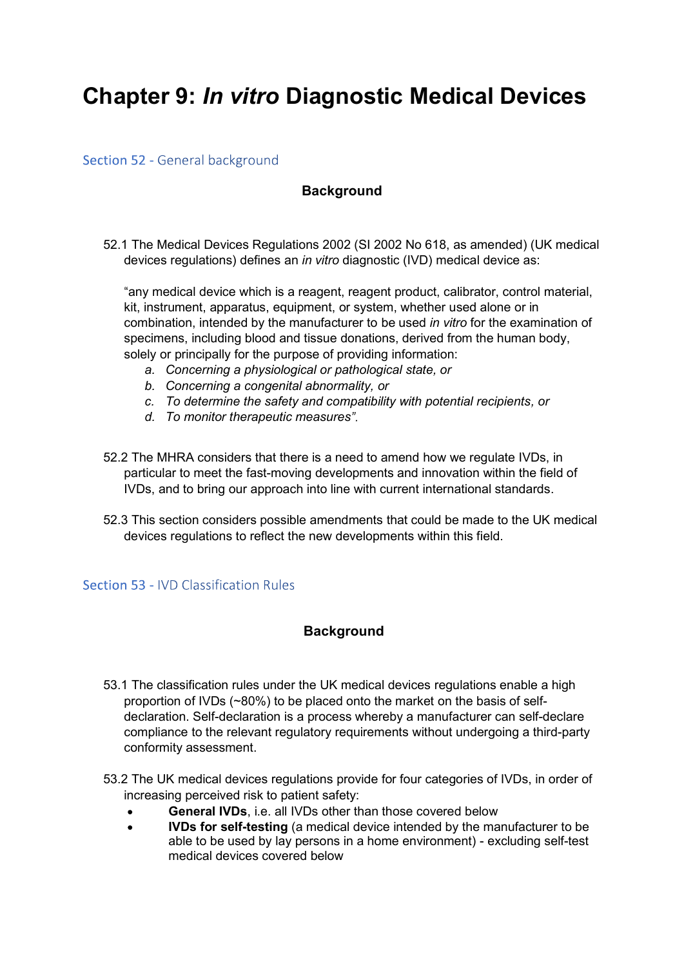# Chapter 9: In vitro Diagnostic Medical Devices

Section 52 - General background

## **Background**

52.1 The Medical Devices Regulations 2002 (SI 2002 No 618, as amended) (UK medical devices regulations) defines an *in vitro* diagnostic (IVD) medical device as:

any medical device which is a reagent, reagent product, calibrator, control material, kit, instrument, apparatus, equipment, or system, whether used alone or in combination, intended by the manufacturer to be used in vitro for the examination of specimens, including blood and tissue donations, derived from the human body, solely or principally for the purpose of providing information:

- a. Concerning a physiological or pathological state, or
- b. Concerning a congenital abnormality, or
- c. To determine the safety and compatibility with potential recipients, or
- d. To monitor therapeutic measures
- 52.2 The MHRA considers that there is a need to amend how we regulate IVDs, in particular to meet the fast-moving developments and innovation within the field of IVDs, and to bring our approach into line with current international standards.
- 52.3 This section considers possible amendments that could be made to the UK medical devices regulations to reflect the new developments within this field.

## Section 53 - IVD Classification Rules

## **Background**

- 53.1 The classification rules under the UK medical devices regulations enable a high proportion of IVDs (~80%) to be placed onto the market on the basis of selfdeclaration. Self-declaration is a process whereby a manufacturer can self-declare compliance to the relevant regulatory requirements without undergoing a third-party conformity assessment.
- 53.2 The UK medical devices regulations provide for four categories of IVDs, in order of increasing perceived risk to patient safety:
	- General IVDs, i.e. all IVDs other than those covered below
	- IVDs for self-testing (a medical device intended by the manufacturer to be  $\bullet$ able to be used by lay persons in a home environment) - excluding self-test medical devices covered below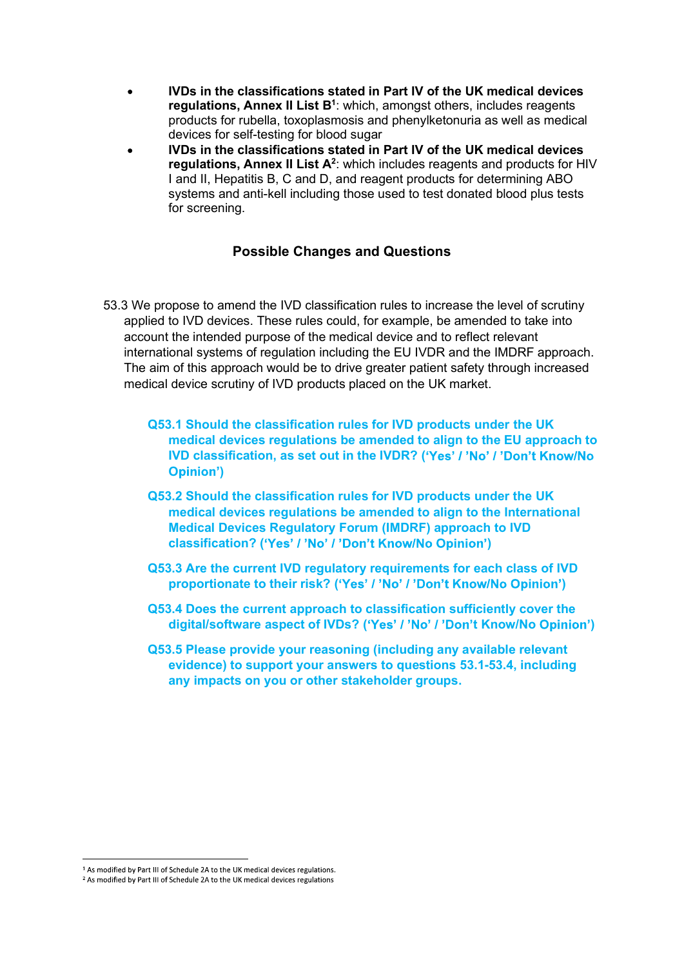- IVDs in the classifications stated in Part IV of the UK medical devices **regulations, Annex II List B**1: which, amongst others, includes reagents products for rubella, toxoplasmosis and phenylketonuria as well as medical devices for self-testing for blood sugar
- IVDs in the classifications stated in Part IV of the UK medical devices regulations, Annex II List A<sup>2</sup>: which includes reagents and products for HIV I and II, Hepatitis B, C and D, and reagent products for determining ABO systems and anti-kell including those used to test donated blood plus tests for screening.

## Possible Changes and Questions

- 53.3 We propose to amend the IVD classification rules to increase the level of scrutiny applied to IVD devices. These rules could, for example, be amended to take into account the intended purpose of the medical device and to reflect relevant international systems of regulation including the EU IVDR and the IMDRF approach. The aim of this approach would be to drive greater patient safety through increased medical device scrutiny of IVD products placed on the UK market.
	- Q53.1 Should the classification rules for IVD products under the UK medical devices regulations be amended to align to the EU approach to IVD classification, as set out in the IVDR? ('Yes' / 'No' / 'Don't Know/No **Opinion')**
	- Q53.2 Should the classification rules for IVD products under the UK medical devices regulations be amended to align to the International Medical Devices Regulatory Forum (IMDRF) approach to IVD classification? ('Yes' / 'No' / 'Don't Know/No Opinion')
	- Q53.3 Are the current IVD regulatory requirements for each class of IVD proportionate to their risk? ('Yes' / 'No' / 'Don't Know/No Opinion')
	- Q53.4 Does the current approach to classification sufficiently cover the digital/software aspect of IVDs? ('Yes' / 'No' / 'Don't Know/No Opinion')
	- Q53.5 Please provide your reasoning (including any available relevant evidence) to support your answers to questions 53.1-53.4, including any impacts on you or other stakeholder groups.

<sup>&</sup>lt;sup>1</sup> As modified by Part III of Schedule 2A to the UK medical devices regulations.

<sup>&</sup>lt;sup>2</sup> As modified by Part III of Schedule 2A to the UK medical devices regulations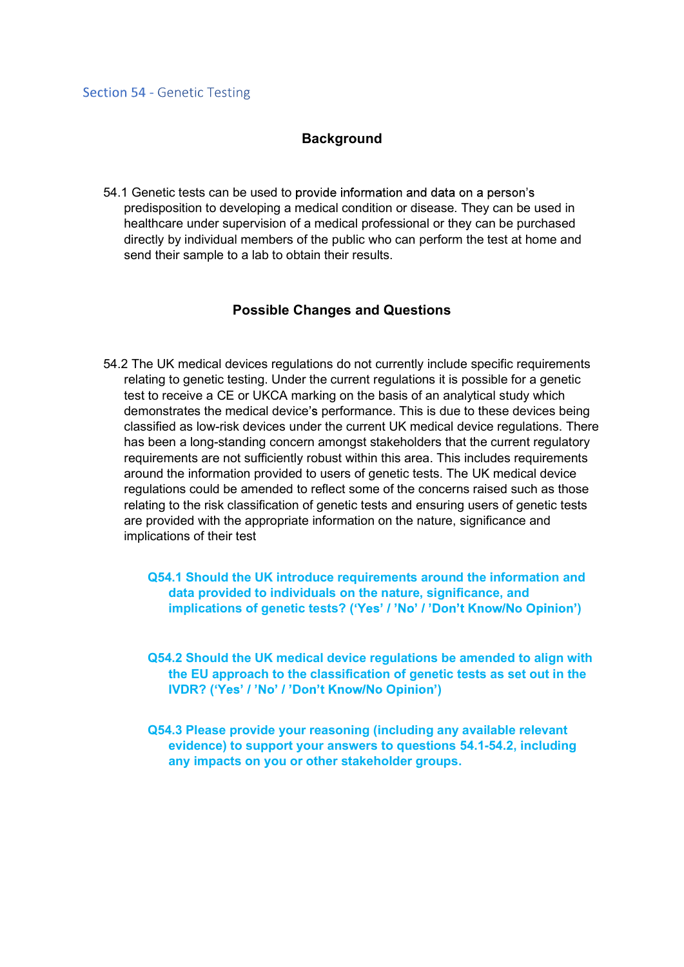### **Background**

54.1 Genetic tests can be used to predisposition to developing a medical condition or disease. They can be used in healthcare under supervision of a medical professional or they can be purchased directly by individual members of the public who can perform the test at home and send their sample to a lab to obtain their results.

#### Possible Changes and Questions

54.2 The UK medical devices regulations do not currently include specific requirements relating to genetic testing. Under the current regulations it is possible for a genetic test to receive a CE or UKCA marking on the basis of an analytical study which demonstrates the medical device's performance. This is due to these devices being classified as low-risk devices under the current UK medical device regulations. There has been a long-standing concern amongst stakeholders that the current regulatory requirements are not sufficiently robust within this area. This includes requirements around the information provided to users of genetic tests. The UK medical device regulations could be amended to reflect some of the concerns raised such as those relating to the risk classification of genetic tests and ensuring users of genetic tests are provided with the appropriate information on the nature, significance and implications of their test

Q54.1 Should the UK introduce requirements around the information and data provided to individuals on the nature, significance, and implications of genetic tests? ('Yes' / 'No' / 'Don't Know/No Opinion')

Q54.2 Should the UK medical device regulations be amended to align with the EU approach to the classification of genetic tests as set out in the IVDR? ('Yes' / 'No' / 'Don't Know/No Opinion')

Q54.3 Please provide your reasoning (including any available relevant evidence) to support your answers to questions 54.1-54.2, including any impacts on you or other stakeholder groups.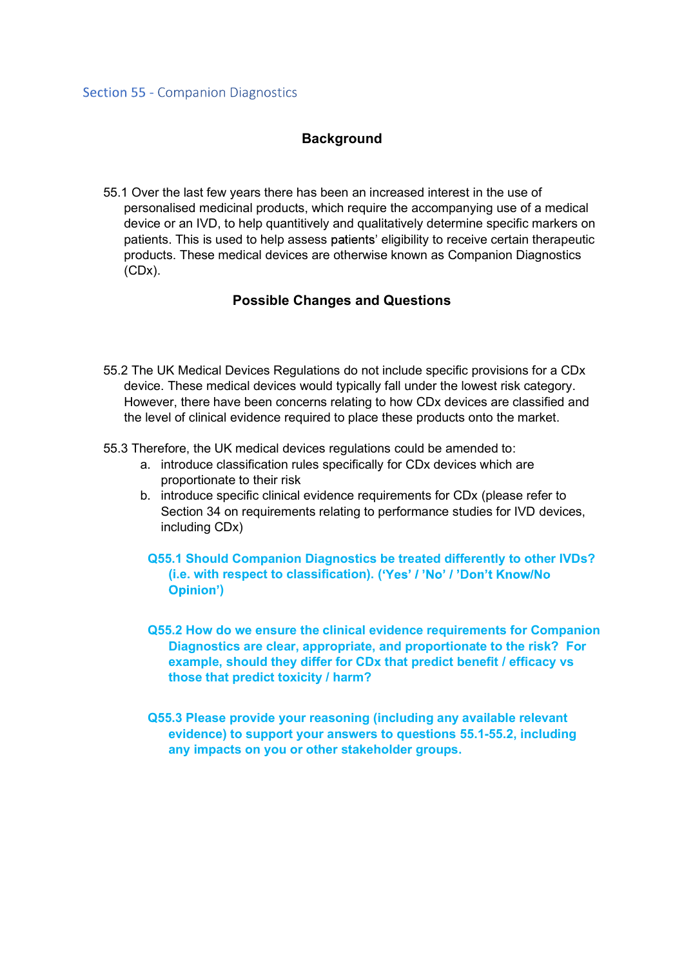## **Background**

55.1 Over the last few years there has been an increased interest in the use of personalised medicinal products, which require the accompanying use of a medical device or an IVD, to help quantitively and qualitatively determine specific markers on patients. This is used to help assess patients' eligibility to receive certain therapeutic products. These medical devices are otherwise known as Companion Diagnostics (CDx).

## Possible Changes and Questions

- 55.2 The UK Medical Devices Regulations do not include specific provisions for a CDx device. These medical devices would typically fall under the lowest risk category. However, there have been concerns relating to how CDx devices are classified and the level of clinical evidence required to place these products onto the market.
- 55.3 Therefore, the UK medical devices regulations could be amended to:
	- a. introduce classification rules specifically for CDx devices which are proportionate to their risk
	- b. introduce specific clinical evidence requirements for CDx (please refer to Section 34 on requirements relating to performance studies for IVD devices, including CDx)
		- Q55.1 Should Companion Diagnostics be treated differently to other IVDs? (i.e. with respect to classification). ('Yes' / 'No' / 'Don't Know/No )
		- Q55.2 How do we ensure the clinical evidence requirements for Companion Diagnostics are clear, appropriate, and proportionate to the risk? For example, should they differ for CDx that predict benefit / efficacy vs those that predict toxicity / harm?
	- Q55.3 Please provide your reasoning (including any available relevant evidence) to support your answers to questions 55.1-55.2, including any impacts on you or other stakeholder groups.